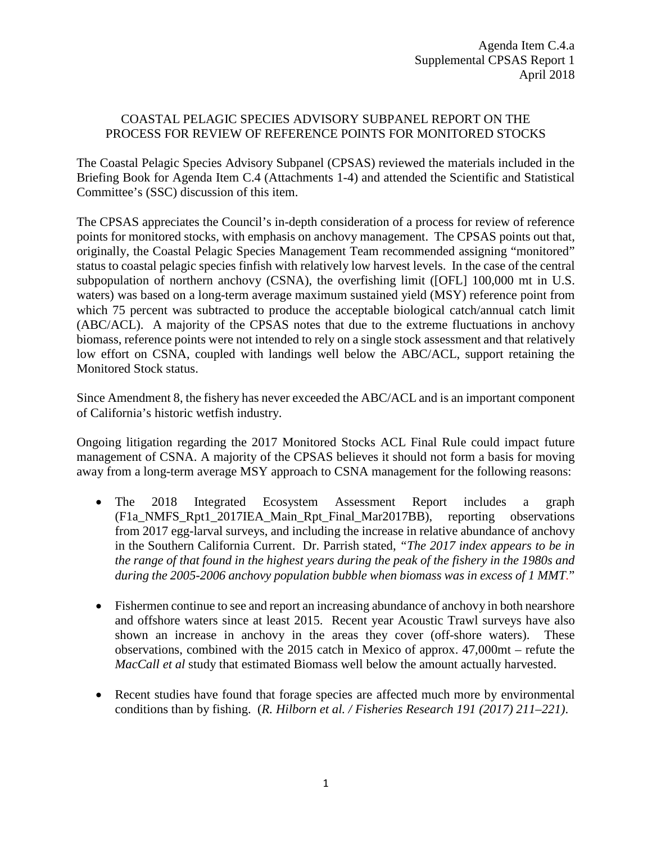## COASTAL PELAGIC SPECIES ADVISORY SUBPANEL REPORT ON THE PROCESS FOR REVIEW OF REFERENCE POINTS FOR MONITORED STOCKS

The Coastal Pelagic Species Advisory Subpanel (CPSAS) reviewed the materials included in the Briefing Book for Agenda Item C.4 (Attachments 1-4) and attended the Scientific and Statistical Committee's (SSC) discussion of this item.

The CPSAS appreciates the Council's in-depth consideration of a process for review of reference points for monitored stocks, with emphasis on anchovy management. The CPSAS points out that, originally, the Coastal Pelagic Species Management Team recommended assigning "monitored" status to coastal pelagic species finfish with relatively low harvest levels. In the case of the central subpopulation of northern anchovy (CSNA), the overfishing limit ([OFL] 100,000 mt in U.S. waters) was based on a long-term average maximum sustained yield (MSY) reference point from which 75 percent was subtracted to produce the acceptable biological catch/annual catch limit (ABC/ACL). A majority of the CPSAS notes that due to the extreme fluctuations in anchovy biomass, reference points were not intended to rely on a single stock assessment and that relatively low effort on CSNA, coupled with landings well below the ABC/ACL, support retaining the Monitored Stock status.

Since Amendment 8, the fishery has never exceeded the ABC/ACL and is an important component of California's historic wetfish industry.

Ongoing litigation regarding the 2017 Monitored Stocks ACL Final Rule could impact future management of CSNA. A majority of the CPSAS believes it should not form a basis for moving away from a long-term average MSY approach to CSNA management for the following reasons:

- The 2018 Integrated Ecosystem Assessment Report includes a graph (F1a\_NMFS\_Rpt1\_2017IEA\_Main\_Rpt\_Final\_Mar2017BB), reporting observations from 2017 egg-larval surveys, and including the increase in relative abundance of anchovy in the Southern California Current. Dr. Parrish stated, *"The 2017 index appears to be in the range of that found in the highest years during the peak of the fishery in the 1980s and during the 2005-2006 anchovy population bubble when biomass was in excess of 1 MMT.*"
- Fishermen continue to see and report an increasing abundance of anchovy in both nearshore and offshore waters since at least 2015. Recent year Acoustic Trawl surveys have also shown an increase in anchovy in the areas they cover (off-shore waters). These observations, combined with the 2015 catch in Mexico of approx. 47,000mt – refute the *MacCall et al* study that estimated Biomass well below the amount actually harvested.
- Recent studies have found that forage species are affected much more by environmental conditions than by fishing. (*R. Hilborn et al. / Fisheries Research 191 (2017) 211–221)*.